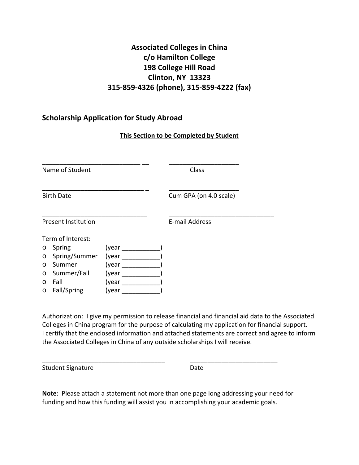## **Associated Colleges in China c/o Hamilton College 198 College Hill Road Clinton, NY 13323 315‐859‐4326 (phone), 315‐859‐4222 (fax)**

## **Scholarship Application for Study Abroad**

## **This Section to be Completed by Student**

| Name of Student |                            |       | Class                  |  |  |
|-----------------|----------------------------|-------|------------------------|--|--|
|                 |                            |       |                        |  |  |
|                 | <b>Birth Date</b>          |       | Cum GPA (on 4.0 scale) |  |  |
|                 | <b>Present Institution</b> |       | E-mail Address         |  |  |
|                 | Term of Interest:          |       |                        |  |  |
| $\circ$         | Spring                     | (year |                        |  |  |
| $\circ$         | Spring/Summer              | (year |                        |  |  |
| $\circ$         | Summer                     | (year |                        |  |  |
| $\circ$         | Summer/Fall                | (year |                        |  |  |
| $\circ$         | Fall                       | (year |                        |  |  |
| O               | Fall/Spring                | (year |                        |  |  |

 Authorization: I give my permission to release financial and financial aid data to the Associated Colleges in China program for the purpose of calculating my application for financial support. I certify that the enclosed information and attached statements are correct and agree to inform the Associated Colleges in China of any outside scholarships I will receive.

Student Signature Date

 **Note**: Please attach a statement not more than one page long addressing your need for funding and how this funding will assist you in accomplishing your academic goals.

\_\_\_\_\_\_\_\_\_\_\_\_\_\_\_\_\_\_\_\_\_\_\_\_\_\_\_\_\_\_\_\_\_\_\_ \_\_\_\_\_\_\_\_\_\_\_\_\_\_\_\_\_\_\_\_\_\_\_\_\_